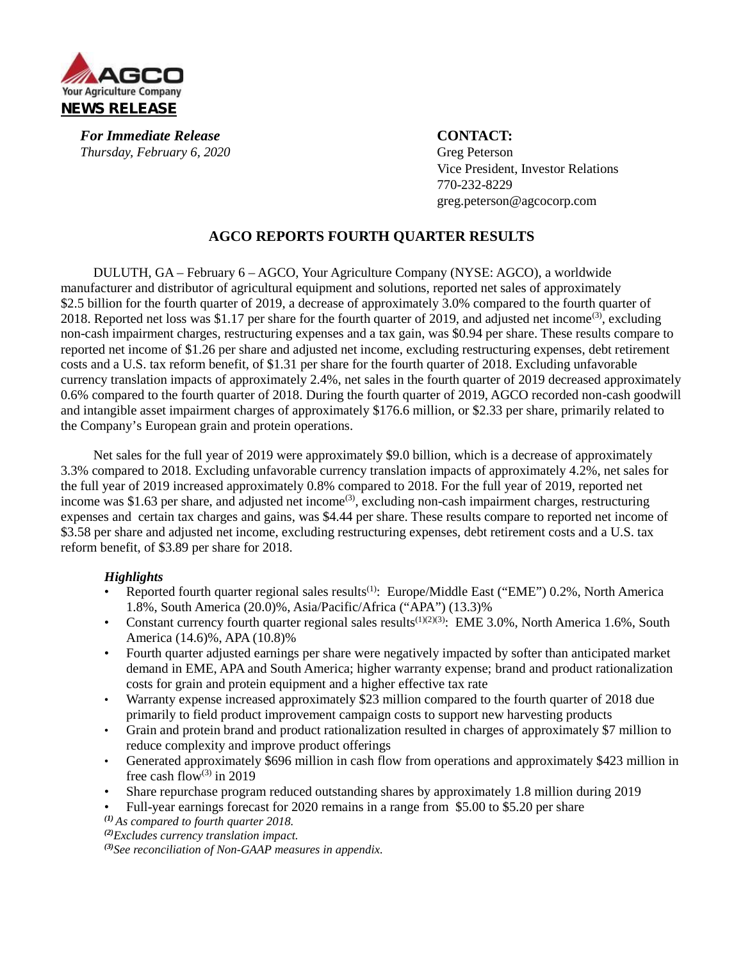

*For Immediate Release* **CONTACT:** *Thursday, February 6, 2020* Greg Peterson

Vice President, Investor Relations 770-232-8229 greg.peterson@agcocorp.com

## **AGCO REPORTS FOURTH QUARTER RESULTS**

DULUTH, GA – February 6 – AGCO, Your Agriculture Company (NYSE: AGCO), a worldwide manufacturer and distributor of agricultural equipment and solutions, reported net sales of approximately \$2.5 billion for the fourth quarter of 2019, a decrease of approximately 3.0% compared to the fourth quarter of 2018. Reported net loss was \$1.17 per share for the fourth quarter of 2019, and adjusted net income<sup>(3)</sup>, excluding non-cash impairment charges, restructuring expenses and a tax gain, was \$0.94 per share. These results compare to reported net income of \$1.26 per share and adjusted net income, excluding restructuring expenses, debt retirement costs and a U.S. tax reform benefit, of \$1.31 per share for the fourth quarter of 2018. Excluding unfavorable currency translation impacts of approximately 2.4%, net sales in the fourth quarter of 2019 decreased approximately 0.6% compared to the fourth quarter of 2018. During the fourth quarter of 2019, AGCO recorded non-cash goodwill and intangible asset impairment charges of approximately \$176.6 million, or \$2.33 per share, primarily related to the Company's European grain and protein operations.

Net sales for the full year of 2019 were approximately \$9.0 billion, which is a decrease of approximately 3.3% compared to 2018. Excluding unfavorable currency translation impacts of approximately 4.2%, net sales for the full year of 2019 increased approximately 0.8% compared to 2018. For the full year of 2019, reported net income was \$1.63 per share, and adjusted net income<sup>(3)</sup>, excluding non-cash impairment charges, restructuring expenses and certain tax charges and gains, was \$4.44 per share. These results compare to reported net income of \$3.58 per share and adjusted net income, excluding restructuring expenses, debt retirement costs and a U.S. tax reform benefit, of \$3.89 per share for 2018.

### *Highlights*

- Reported fourth quarter regional sales results<sup>(1)</sup>: Europe/Middle East ("EME")  $0.2\%$ , North America 1.8%, South America (20.0)%, Asia/Pacific/Africa ("APA") (13.3)%
- Constant currency fourth quarter regional sales results<sup>(1)(2)(3)</sup>: EME 3.0%, North America 1.6%, South America (14.6)%, APA (10.8)%
- Fourth quarter adjusted earnings per share were negatively impacted by softer than anticipated market demand in EME, APA and South America; higher warranty expense; brand and product rationalization costs for grain and protein equipment and a higher effective tax rate
- Warranty expense increased approximately \$23 million compared to the fourth quarter of 2018 due primarily to field product improvement campaign costs to support new harvesting products
- Grain and protein brand and product rationalization resulted in charges of approximately \$7 million to reduce complexity and improve product offerings
- Generated approximately \$696 million in cash flow from operations and approximately \$423 million in free cash flow<sup>(3)</sup> in 2019
- Share repurchase program reduced outstanding shares by approximately 1.8 million during 2019
- Full-year earnings forecast for 2020 remains in a range from \$5.00 to \$5.20 per share

*(1) As compared to fourth quarter 2018.*

*(2)Excludes currency translation impact.*

*(3)See reconciliation of Non-GAAP measures in appendix.*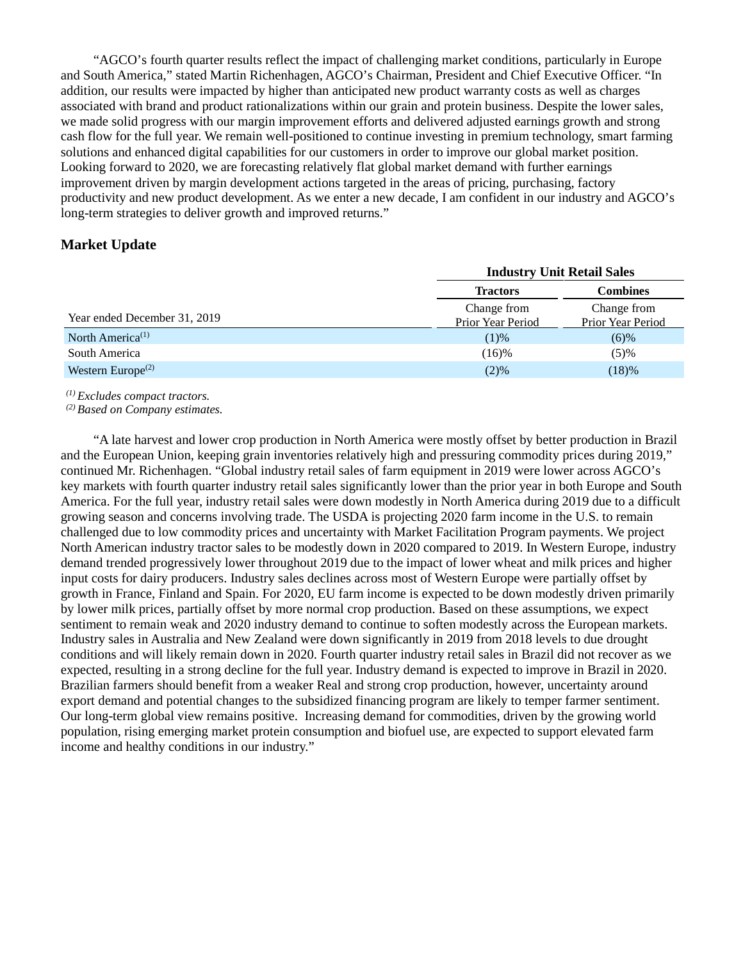"AGCO's fourth quarter results reflect the impact of challenging market conditions, particularly in Europe and South America," stated Martin Richenhagen, AGCO's Chairman, President and Chief Executive Officer. "In addition, our results were impacted by higher than anticipated new product warranty costs as well as charges associated with brand and product rationalizations within our grain and protein business. Despite the lower sales, we made solid progress with our margin improvement efforts and delivered adjusted earnings growth and strong cash flow for the full year. We remain well-positioned to continue investing in premium technology, smart farming solutions and enhanced digital capabilities for our customers in order to improve our global market position. Looking forward to 2020, we are forecasting relatively flat global market demand with further earnings improvement driven by margin development actions targeted in the areas of pricing, purchasing, factory productivity and new product development. As we enter a new decade, I am confident in our industry and AGCO's long-term strategies to deliver growth and improved returns."

## **Market Update**

|                                            |                                  | <b>Industry Unit Retail Sales</b> |
|--------------------------------------------|----------------------------------|-----------------------------------|
|                                            | <b>Tractors</b>                  | Combines                          |
| Year ended December 31, 2019               | Change from<br>Prior Year Period | Change from<br>Prior Year Period  |
| North America <sup>(1)</sup>               | (1)%                             | $(6)$ %                           |
| South America                              | (16)%                            | (5)%                              |
| Western Europe <sup><math>(2)</math></sup> | (2)%                             | (18)%                             |

*(1) Excludes compact tractors.*

*(2) Based on Company estimates.*

"A late harvest and lower crop production in North America were mostly offset by better production in Brazil and the European Union, keeping grain inventories relatively high and pressuring commodity prices during 2019," continued Mr. Richenhagen. "Global industry retail sales of farm equipment in 2019 were lower across AGCO's key markets with fourth quarter industry retail sales significantly lower than the prior year in both Europe and South America. For the full year, industry retail sales were down modestly in North America during 2019 due to a difficult growing season and concerns involving trade. The USDA is projecting 2020 farm income in the U.S. to remain challenged due to low commodity prices and uncertainty with Market Facilitation Program payments. We project North American industry tractor sales to be modestly down in 2020 compared to 2019. In Western Europe, industry demand trended progressively lower throughout 2019 due to the impact of lower wheat and milk prices and higher input costs for dairy producers. Industry sales declines across most of Western Europe were partially offset by growth in France, Finland and Spain. For 2020, EU farm income is expected to be down modestly driven primarily by lower milk prices, partially offset by more normal crop production. Based on these assumptions, we expect sentiment to remain weak and 2020 industry demand to continue to soften modestly across the European markets. Industry sales in Australia and New Zealand were down significantly in 2019 from 2018 levels to due drought conditions and will likely remain down in 2020. Fourth quarter industry retail sales in Brazil did not recover as we expected, resulting in a strong decline for the full year. Industry demand is expected to improve in Brazil in 2020. Brazilian farmers should benefit from a weaker Real and strong crop production, however, uncertainty around export demand and potential changes to the subsidized financing program are likely to temper farmer sentiment. Our long-term global view remains positive. Increasing demand for commodities, driven by the growing world population, rising emerging market protein consumption and biofuel use, are expected to support elevated farm income and healthy conditions in our industry."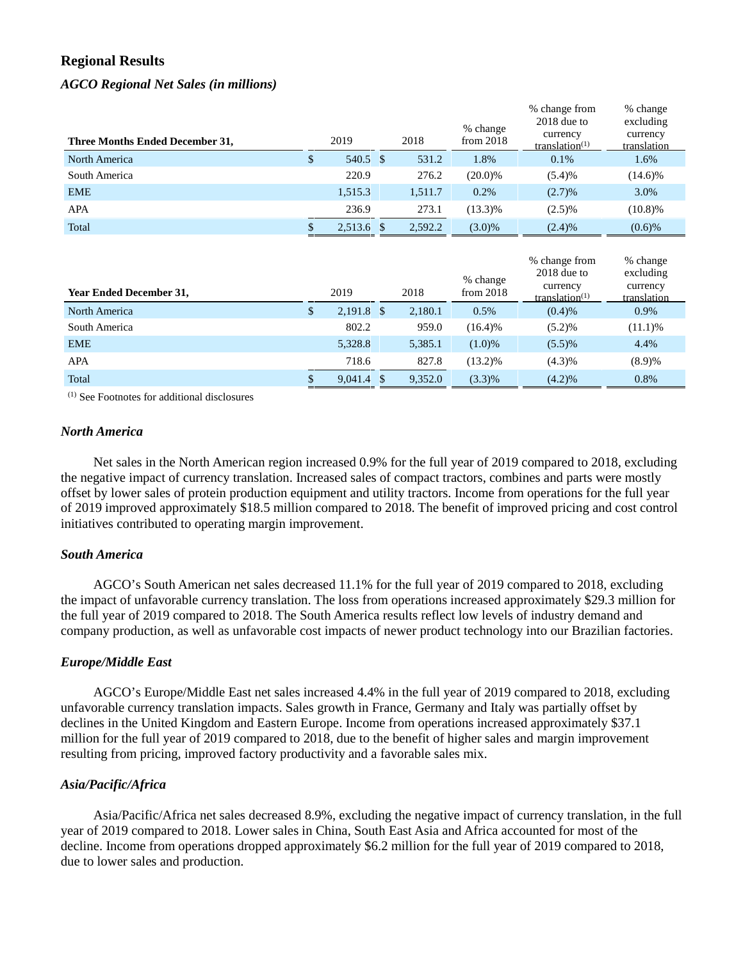## **Regional Results**

## *AGCO Regional Net Sales (in millions)*

| <b>Three Months Ended December 31,</b> |               | 2019         | 2018    | % change<br>from $2018$ | % change from<br>$2018$ due to<br>currency<br>translation <sup><math>(1)</math></sup> | % change<br>excluding<br>currency<br>translation |
|----------------------------------------|---------------|--------------|---------|-------------------------|---------------------------------------------------------------------------------------|--------------------------------------------------|
| North America                          | $\mathbb{S}$  | 540.5 \$     | 531.2   | 1.8%                    | 0.1%                                                                                  | 1.6%                                             |
| South America                          |               | 220.9        | 276.2   | $(20.0)\%$              | (5.4)%                                                                                | $(14.6)\%$                                       |
| <b>EME</b>                             |               | 1,515.3      | 1,511.7 | 0.2%                    | (2.7)%                                                                                | 3.0%                                             |
| APA                                    |               | 236.9        | 273.1   | $(13.3)\%$              | $(2.5)\%$                                                                             | $(10.8)\%$                                       |
| Total                                  |               | $2,513.6$ \$ | 2,592.2 | $(3.0)\%$               | (2.4)%                                                                                | $(0.6)$ %                                        |
|                                        |               |              |         |                         |                                                                                       |                                                  |
| <b>Year Ended December 31,</b>         |               | 2019         | 2018    | % change<br>from $2018$ | % change from<br>$2018$ due to<br>currency<br>translation $(1)$                       | % change<br>excluding<br>currency<br>translation |
| North America                          | $\mathcal{S}$ | $2,191.8$ \$ | 2,180.1 | 0.5%                    | (0.4)%                                                                                | 0.9%                                             |
| South America                          |               | 802.2        | 959.0   | $(16.4)\%$              | (5.2)%                                                                                | $(11.1)\%$                                       |
| <b>EME</b>                             |               | 5,328.8      | 5,385.1 | $(1.0)\%$               | (5.5)%                                                                                | 4.4%                                             |
| APA                                    |               | 718.6        | 827.8   | $(13.2)\%$              | $(4.3)\%$                                                                             | (8.9)%                                           |

(1) See Footnotes for additional disclosures

#### *North America*

Net sales in the North American region increased 0.9% for the full year of 2019 compared to 2018, excluding the negative impact of currency translation. Increased sales of compact tractors, combines and parts were mostly offset by lower sales of protein production equipment and utility tractors. Income from operations for the full year of 2019 improved approximately \$18.5 million compared to 2018. The benefit of improved pricing and cost control initiatives contributed to operating margin improvement.

### *South America*

AGCO's South American net sales decreased 11.1% for the full year of 2019 compared to 2018, excluding the impact of unfavorable currency translation. The loss from operations increased approximately \$29.3 million for the full year of 2019 compared to 2018. The South America results reflect low levels of industry demand and company production, as well as unfavorable cost impacts of newer product technology into our Brazilian factories.

#### *Europe/Middle East*

AGCO's Europe/Middle East net sales increased 4.4% in the full year of 2019 compared to 2018, excluding unfavorable currency translation impacts. Sales growth in France, Germany and Italy was partially offset by declines in the United Kingdom and Eastern Europe. Income from operations increased approximately \$37.1 million for the full year of 2019 compared to 2018, due to the benefit of higher sales and margin improvement resulting from pricing, improved factory productivity and a favorable sales mix.

### *Asia/Pacific/Africa*

Asia/Pacific/Africa net sales decreased 8.9%, excluding the negative impact of currency translation, in the full year of 2019 compared to 2018. Lower sales in China, South East Asia and Africa accounted for most of the decline. Income from operations dropped approximately \$6.2 million for the full year of 2019 compared to 2018, due to lower sales and production.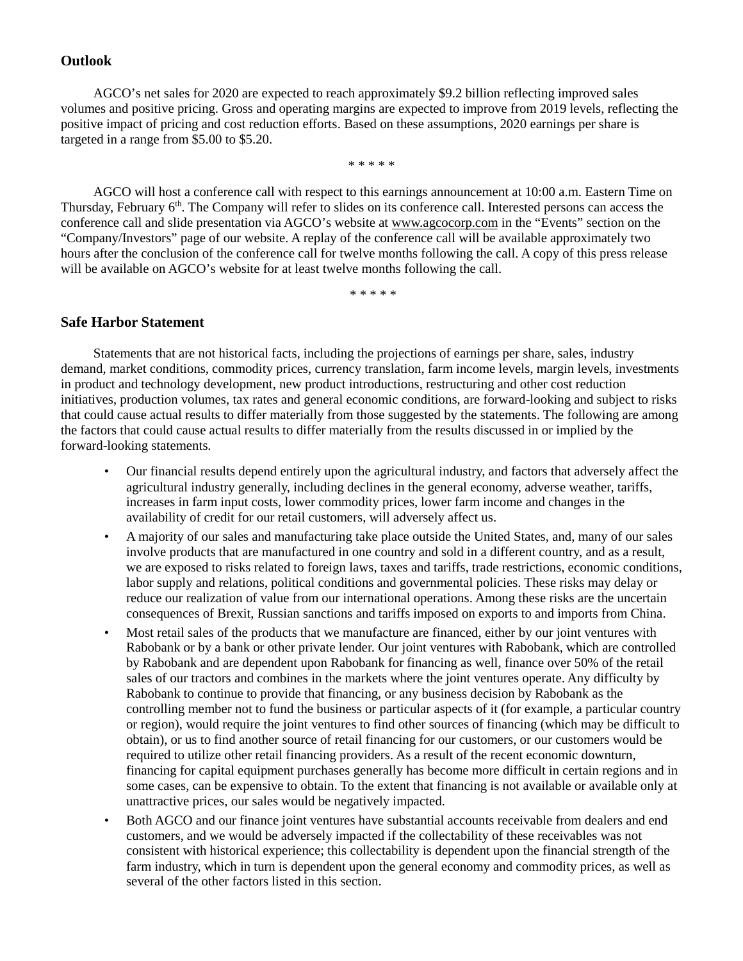## **Outlook**

AGCO's net sales for 2020 are expected to reach approximately \$9.2 billion reflecting improved sales volumes and positive pricing. Gross and operating margins are expected to improve from 2019 levels, reflecting the positive impact of pricing and cost reduction efforts. Based on these assumptions, 2020 earnings per share is targeted in a range from \$5.00 to \$5.20.

\* \* \* \* \*

AGCO will host a conference call with respect to this earnings announcement at 10:00 a.m. Eastern Time on Thursday, February 6<sup>th</sup>. The Company will refer to slides on its conference call. Interested persons can access the conference call and slide presentation via AGCO's website at www.agcocorp.com in the"Events" section on the "Company/Investors" page of our website. A replay of the conference call will be available approximately two hours after the conclusion of the conference call for twelve months following the call. A copy of this press release will be available on AGCO's website for at least twelve months following the call.

\* \* \* \* \*

## **Safe Harbor Statement**

Statements that are not historical facts, including the projections of earnings per share, sales, industry demand, market conditions, commodity prices, currency translation, farm income levels, margin levels, investments in product and technology development, new product introductions, restructuring and other cost reduction initiatives, production volumes, tax rates and general economic conditions, are forward-looking and subject to risks that could cause actual results to differ materially from those suggested by the statements. The following are among the factors that could cause actual results to differ materially from the results discussed in or implied by the forward-looking statements.

- Our financial results depend entirely upon the agricultural industry, and factors that adversely affect the agricultural industry generally, including declines in the general economy, adverse weather, tariffs, increases in farm input costs, lower commodity prices, lower farm income and changes in the availability of credit for our retail customers, will adversely affect us.
- A majority of our sales and manufacturing take place outside the United States, and, many of our sales involve products that are manufactured in one country and sold in a different country, and as a result, we are exposed to risks related to foreign laws, taxes and tariffs, trade restrictions, economic conditions, labor supply and relations, political conditions and governmental policies. These risks may delay or reduce our realization of value from our international operations. Among these risks are the uncertain consequences of Brexit, Russian sanctions and tariffs imposed on exports to and imports from China.
- Most retail sales of the products that we manufacture are financed, either by our joint ventures with Rabobank or by a bank or other private lender. Our joint ventures with Rabobank, which are controlled by Rabobank and are dependent upon Rabobank for financing as well, finance over 50% of the retail sales of our tractors and combines in the markets where the joint ventures operate. Any difficulty by Rabobank to continue to provide that financing, or any business decision by Rabobank as the controlling member not to fund the business or particular aspects of it (for example, a particular country or region), would require the joint ventures to find other sources of financing (which may be difficult to obtain), or us to find another source of retail financing for our customers, or our customers would be required to utilize other retail financing providers. As a result of the recent economic downturn, financing for capital equipment purchases generally has become more difficult in certain regions and in some cases, can be expensive to obtain. To the extent that financing is not available or available only at unattractive prices, our sales would be negatively impacted.
- Both AGCO and our finance joint ventures have substantial accounts receivable from dealers and end customers, and we would be adversely impacted if the collectability of these receivables was not consistent with historical experience; this collectability is dependent upon the financial strength of the farm industry, which in turn is dependent upon the general economy and commodity prices, as well as several of the other factors listed in this section.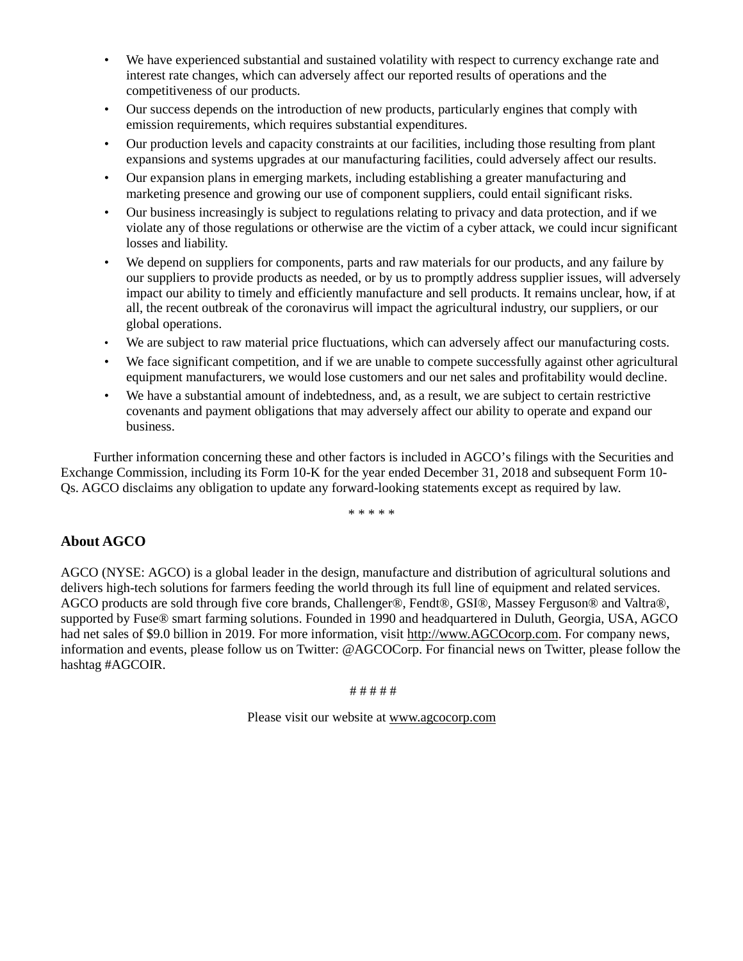- We have experienced substantial and sustained volatility with respect to currency exchange rate and interest rate changes, which can adversely affect our reported results of operations and the competitiveness of our products.
- Our success depends on the introduction of new products, particularly engines that comply with emission requirements, which requires substantial expenditures.
- Our production levels and capacity constraints at our facilities, including those resulting from plant expansions and systems upgrades at our manufacturing facilities, could adversely affect our results.
- Our expansion plans in emerging markets, including establishing a greater manufacturing and marketing presence and growing our use of component suppliers, could entail significant risks.
- Our business increasingly is subject to regulations relating to privacy and data protection, and if we violate any of those regulations or otherwise are the victim of a cyber attack, we could incur significant losses and liability.
- We depend on suppliers for components, parts and raw materials for our products, and any failure by our suppliers to provide products as needed, or by us to promptly address supplier issues, will adversely impact our ability to timely and efficiently manufacture and sell products. It remains unclear, how, if at all, the recent outbreak of the coronavirus will impact the agricultural industry, our suppliers, or our global operations.
- We are subject to raw material price fluctuations, which can adversely affect our manufacturing costs.
- We face significant competition, and if we are unable to compete successfully against other agricultural equipment manufacturers, we would lose customers and our net sales and profitability would decline.
- We have a substantial amount of indebtedness, and, as a result, we are subject to certain restrictive covenants and payment obligations that may adversely affect our ability to operate and expand our business.

Further information concerning these and other factors is included in AGCO's filings with the Securities and Exchange Commission, including its Form 10-K for the year ended December 31, 2018 and subsequent Form 10- Qs. AGCO disclaims any obligation to update any forward-looking statements except as required by law.

\* \* \* \* \*

## **About AGCO**

AGCO (NYSE: AGCO) is a global leader in the design, manufacture and distribution of agricultural solutions and delivers high-tech solutions for farmers feeding the world through its full line of equipment and related services. AGCO products are sold through five core brands, Challenger®, Fendt®, GSI®, Massey Ferguson® and Valtra®, supported by Fuse® smart farming solutions. Founded in 1990 and headquartered in Duluth, Georgia, USA, AGCO had net sales of \$9.0 billion in 2019. For more information, visit http://www.AGCOcorp.com. For company news, information and events, please follow us on Twitter: @AGCOCorp. For financial news on Twitter, please follow the hashtag #AGCOIR.

# # # # #

Please visit our website at www.agcocorp.com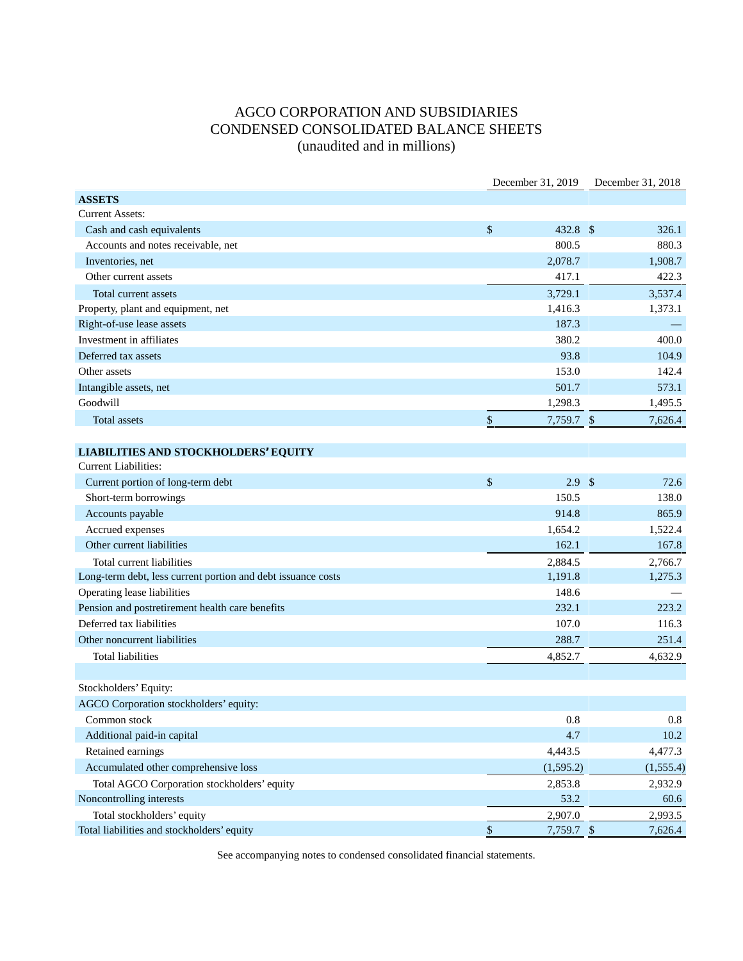## AGCO CORPORATION AND SUBSIDIARIES CONDENSED CONSOLIDATED BALANCE SHEETS (unaudited and in millions)

|                                                              |                           | December 31, 2019 | December 31, 2018 |
|--------------------------------------------------------------|---------------------------|-------------------|-------------------|
| <b>ASSETS</b>                                                |                           |                   |                   |
| <b>Current Assets:</b>                                       |                           |                   |                   |
| Cash and cash equivalents                                    | $\$$                      | 432.8 \$          | 326.1             |
| Accounts and notes receivable, net                           |                           | 800.5             | 880.3             |
| Inventories, net                                             |                           | 2,078.7           | 1,908.7           |
| Other current assets                                         |                           | 417.1             | 422.3             |
| Total current assets                                         |                           | 3,729.1           | 3,537.4           |
| Property, plant and equipment, net                           |                           | 1,416.3           | 1,373.1           |
| Right-of-use lease assets                                    |                           | 187.3             |                   |
| Investment in affiliates                                     |                           | 380.2             | 400.0             |
| Deferred tax assets                                          |                           | 93.8              | 104.9             |
| Other assets                                                 |                           | 153.0             | 142.4             |
| Intangible assets, net                                       |                           | 501.7             | 573.1             |
| Goodwill                                                     |                           | 1,298.3           | 1,495.5           |
| Total assets                                                 | $\boldsymbol{\mathsf{S}}$ | 7,759.7 \$        | 7,626.4           |
| LIABILITIES AND STOCKHOLDERS' EQUITY                         |                           |                   |                   |
| <b>Current Liabilities:</b>                                  |                           |                   |                   |
| Current portion of long-term debt                            | $\$$                      | 2.9 <sup>°</sup>  | 72.6              |
| Short-term borrowings                                        |                           | 150.5             | 138.0             |
| Accounts payable                                             |                           | 914.8             | 865.9             |
| Accrued expenses                                             |                           | 1,654.2           | 1,522.4           |
| Other current liabilities                                    |                           | 162.1             | 167.8             |
| Total current liabilities                                    |                           | 2,884.5           | 2,766.7           |
| Long-term debt, less current portion and debt issuance costs |                           | 1,191.8           | 1,275.3           |
| Operating lease liabilities                                  |                           | 148.6             |                   |
| Pension and postretirement health care benefits              |                           | 232.1             | 223.2             |
| Deferred tax liabilities                                     |                           | 107.0             | 116.3             |
| Other noncurrent liabilities                                 |                           | 288.7             | 251.4             |
| <b>Total liabilities</b>                                     |                           | 4,852.7           | 4,632.9           |
| Stockholders' Equity:                                        |                           |                   |                   |
| AGCO Corporation stockholders' equity:                       |                           |                   |                   |
| Common stock                                                 |                           | 0.8               | 0.8               |
| Additional paid-in capital                                   |                           | 4.7               | 10.2              |
| Retained earnings                                            |                           | 4,443.5           | 4,477.3           |
| Accumulated other comprehensive loss                         |                           | (1, 595.2)        | (1,555.4)         |
| Total AGCO Corporation stockholders' equity                  |                           | 2,853.8           | 2,932.9           |
| Noncontrolling interests                                     |                           | 53.2              | 60.6              |
| Total stockholders' equity                                   |                           | 2,907.0           | 2,993.5           |
| Total liabilities and stockholders' equity                   | $\$$                      | 7,759.7 \$        | 7,626.4           |
|                                                              |                           |                   |                   |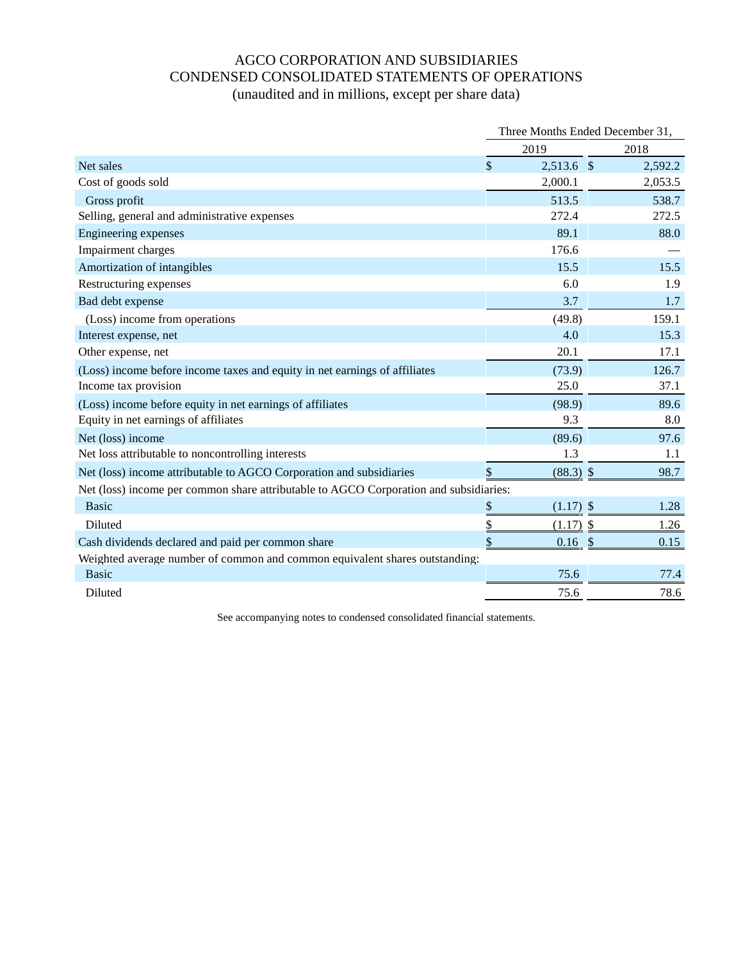# AGCO CORPORATION AND SUBSIDIARIES CONDENSED CONSOLIDATED STATEMENTS OF OPERATIONS

| (unaudited and in millions, except per share data) |
|----------------------------------------------------|
|----------------------------------------------------|

|                                                                                       |                          |              | Three Months Ended December 31, |
|---------------------------------------------------------------------------------------|--------------------------|--------------|---------------------------------|
|                                                                                       |                          | 2019         | 2018                            |
| Net sales                                                                             | \$                       | $2,513.6$ \$ | 2,592.2                         |
| Cost of goods sold                                                                    |                          | 2,000.1      | 2,053.5                         |
| Gross profit                                                                          |                          | 513.5        | 538.7                           |
| Selling, general and administrative expenses                                          |                          | 272.4        | 272.5                           |
| Engineering expenses                                                                  |                          | 89.1         | 88.0                            |
| Impairment charges                                                                    |                          | 176.6        |                                 |
| Amortization of intangibles                                                           |                          | 15.5         | 15.5                            |
| Restructuring expenses                                                                |                          | 6.0          | 1.9                             |
| Bad debt expense                                                                      |                          | 3.7          | 1.7                             |
| (Loss) income from operations                                                         |                          | (49.8)       | 159.1                           |
| Interest expense, net                                                                 |                          | 4.0          | 15.3                            |
| Other expense, net                                                                    |                          | 20.1         | 17.1                            |
| (Loss) income before income taxes and equity in net earnings of affiliates            |                          | (73.9)       | 126.7                           |
| Income tax provision                                                                  |                          | 25.0         | 37.1                            |
| (Loss) income before equity in net earnings of affiliates                             |                          | (98.9)       | 89.6                            |
| Equity in net earnings of affiliates                                                  |                          | 9.3          | 8.0                             |
| Net (loss) income                                                                     |                          | (89.6)       | 97.6                            |
| Net loss attributable to noncontrolling interests                                     |                          | 1.3          | 1.1                             |
| Net (loss) income attributable to AGCO Corporation and subsidiaries                   | \$                       | $(88.3)$ \$  | 98.7                            |
| Net (loss) income per common share attributable to AGCO Corporation and subsidiaries: |                          |              |                                 |
| <b>Basic</b>                                                                          | \$                       | $(1.17)$ \$  | 1.28                            |
| Diluted                                                                               | $\overline{\mathcal{E}}$ | $(1.17)$ \$  | 1.26                            |
| Cash dividends declared and paid per common share                                     | $\mathcal{S}$            | $0.16$ \$    | 0.15                            |
| Weighted average number of common and common equivalent shares outstanding:           |                          |              |                                 |
| <b>Basic</b>                                                                          |                          | 75.6         | 77.4                            |
| Diluted                                                                               |                          | 75.6         | 78.6                            |
|                                                                                       |                          |              |                                 |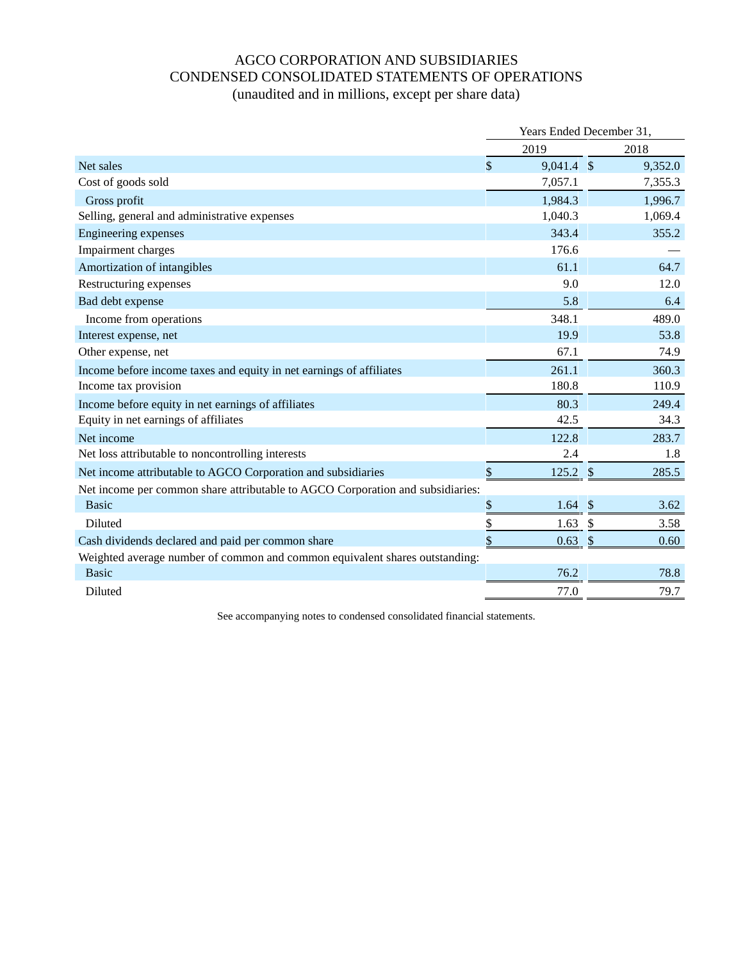# AGCO CORPORATION AND SUBSIDIARIES CONDENSED CONSOLIDATED STATEMENTS OF OPERATIONS

(unaudited and in millions, except per share data)

|                                                                                |                        | Years Ended December 31, |
|--------------------------------------------------------------------------------|------------------------|--------------------------|
|                                                                                | 2019                   | 2018                     |
| Net sales                                                                      | \$<br>9,041.4 \$       | 9,352.0                  |
| Cost of goods sold                                                             | 7,057.1                | 7,355.3                  |
| Gross profit                                                                   | 1,984.3                | 1,996.7                  |
| Selling, general and administrative expenses                                   | 1,040.3                | 1,069.4                  |
| Engineering expenses                                                           | 343.4                  | 355.2                    |
| Impairment charges                                                             | 176.6                  |                          |
| Amortization of intangibles                                                    | 61.1                   | 64.7                     |
| Restructuring expenses                                                         | 9.0                    | 12.0                     |
| Bad debt expense                                                               | 5.8                    | 6.4                      |
| Income from operations                                                         | 348.1                  | 489.0                    |
| Interest expense, net                                                          | 19.9                   | 53.8                     |
| Other expense, net                                                             | 67.1                   | 74.9                     |
| Income before income taxes and equity in net earnings of affiliates            | 261.1                  | 360.3                    |
| Income tax provision                                                           | 180.8                  | 110.9                    |
| Income before equity in net earnings of affiliates                             | 80.3                   | 249.4                    |
| Equity in net earnings of affiliates                                           | 42.5                   | 34.3                     |
| Net income                                                                     | 122.8                  | 283.7                    |
| Net loss attributable to noncontrolling interests                              | 2.4                    | 1.8                      |
| Net income attributable to AGCO Corporation and subsidiaries                   | \$<br>$125.2 \text{ }$ | 285.5                    |
| Net income per common share attributable to AGCO Corporation and subsidiaries: |                        |                          |
| <b>Basic</b>                                                                   | \$<br>$1.64$ \$        | 3.62                     |
| <b>Diluted</b>                                                                 | \$<br>$1.63$ \$        | 3.58                     |
| Cash dividends declared and paid per common share                              | \$<br>$0.63$ \$        | 0.60                     |
| Weighted average number of common and common equivalent shares outstanding:    |                        |                          |
| <b>Basic</b>                                                                   | 76.2                   | 78.8                     |
| Diluted                                                                        | 77.0                   | 79.7                     |
|                                                                                |                        |                          |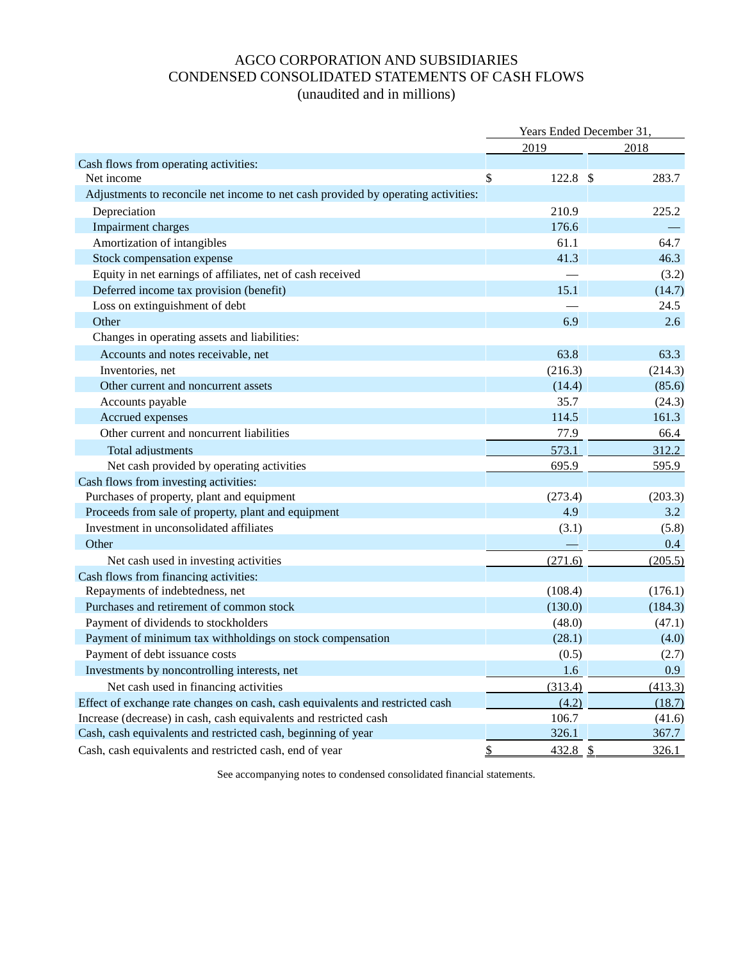# AGCO CORPORATION AND SUBSIDIARIES CONDENSED CONSOLIDATED STATEMENTS OF CASH FLOWS

(unaudited and in millions)

|                                                                                   | Years Ended December 31, |            |  |         |
|-----------------------------------------------------------------------------------|--------------------------|------------|--|---------|
|                                                                                   |                          | 2019       |  | 2018    |
| Cash flows from operating activities:                                             |                          |            |  |         |
| Net income                                                                        | \$                       | $122.8$ \$ |  | 283.7   |
| Adjustments to reconcile net income to net cash provided by operating activities: |                          |            |  |         |
| Depreciation                                                                      |                          | 210.9      |  | 225.2   |
| Impairment charges                                                                |                          | 176.6      |  |         |
| Amortization of intangibles                                                       |                          | 61.1       |  | 64.7    |
| Stock compensation expense                                                        |                          | 41.3       |  | 46.3    |
| Equity in net earnings of affiliates, net of cash received                        |                          |            |  | (3.2)   |
| Deferred income tax provision (benefit)                                           |                          | 15.1       |  | (14.7)  |
| Loss on extinguishment of debt                                                    |                          |            |  | 24.5    |
| Other                                                                             |                          | 6.9        |  | 2.6     |
| Changes in operating assets and liabilities:                                      |                          |            |  |         |
| Accounts and notes receivable, net                                                |                          | 63.8       |  | 63.3    |
| Inventories, net                                                                  |                          | (216.3)    |  | (214.3) |
| Other current and noncurrent assets                                               |                          | (14.4)     |  | (85.6)  |
| Accounts payable                                                                  |                          | 35.7       |  | (24.3)  |
| Accrued expenses                                                                  |                          | 114.5      |  | 161.3   |
| Other current and noncurrent liabilities                                          |                          | 77.9       |  | 66.4    |
| Total adjustments                                                                 |                          | 573.1      |  | 312.2   |
| Net cash provided by operating activities                                         |                          | 695.9      |  | 595.9   |
| Cash flows from investing activities:                                             |                          |            |  |         |
| Purchases of property, plant and equipment                                        |                          | (273.4)    |  | (203.3) |
| Proceeds from sale of property, plant and equipment                               |                          | 4.9        |  | 3.2     |
| Investment in unconsolidated affiliates                                           |                          | (3.1)      |  | (5.8)   |
| Other                                                                             |                          |            |  | 0.4     |
| Net cash used in investing activities                                             |                          | (271.6)    |  | (205.5) |
| Cash flows from financing activities:                                             |                          |            |  |         |
| Repayments of indebtedness, net                                                   |                          | (108.4)    |  | (176.1) |
| Purchases and retirement of common stock                                          |                          | (130.0)    |  | (184.3) |
| Payment of dividends to stockholders                                              |                          | (48.0)     |  | (47.1)  |
| Payment of minimum tax withholdings on stock compensation                         |                          | (28.1)     |  | (4.0)   |
| Payment of debt issuance costs                                                    |                          | (0.5)      |  | (2.7)   |
| Investments by noncontrolling interests, net                                      |                          | 1.6        |  | 0.9     |
| Net cash used in financing activities                                             |                          | (313.4)    |  | (413.3) |
| Effect of exchange rate changes on cash, cash equivalents and restricted cash     |                          | (4.2)      |  | (18.7)  |
| Increase (decrease) in cash, cash equivalents and restricted cash                 |                          | 106.7      |  | (41.6)  |
| Cash, cash equivalents and restricted cash, beginning of year                     |                          | 326.1      |  | 367.7   |
| Cash, cash equivalents and restricted cash, end of year                           | $\frac{1}{2}$            | 432.8 \$   |  | 326.1   |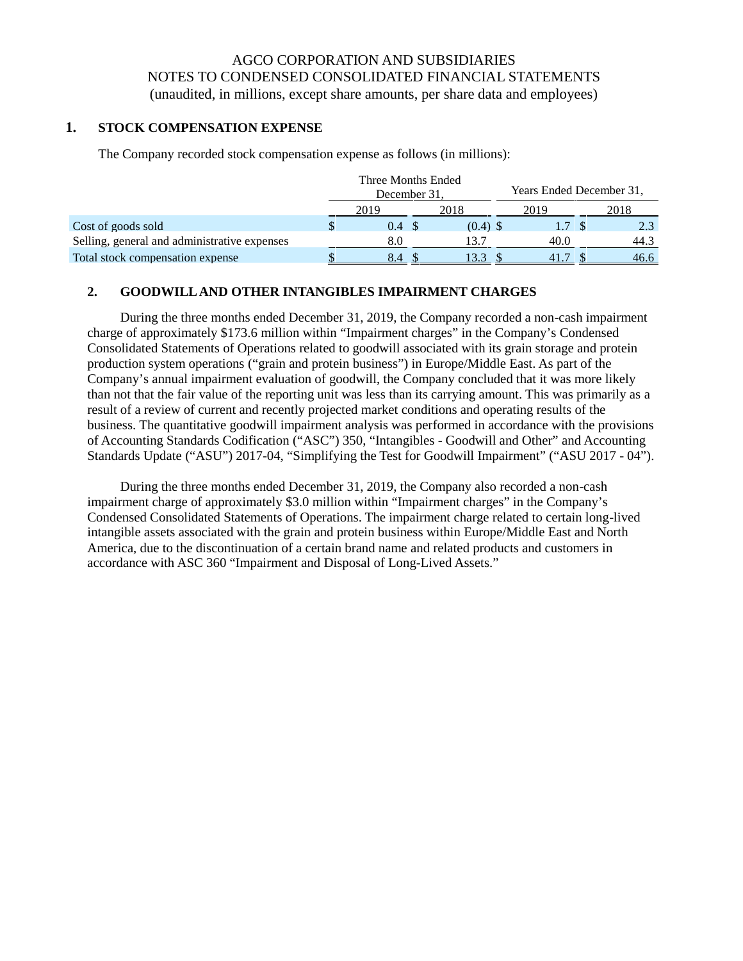## AGCO CORPORATION AND SUBSIDIARIES NOTES TO CONDENSED CONSOLIDATED FINANCIAL STATEMENTS (unaudited, in millions, except share amounts, per share data and employees)

### **1. STOCK COMPENSATION EXPENSE**

The Company recorded stock compensation expense as follows (in millions):

|                                              | Three Months Ended<br>December 31. |      |            | Years Ended December 31, |  |      |  |  |
|----------------------------------------------|------------------------------------|------|------------|--------------------------|--|------|--|--|
|                                              | 2019                               | 2018 |            | 2019                     |  | 2018 |  |  |
| Cost of goods sold                           | $0.4^{\circ}$                      |      | $(0.4)$ \$ |                          |  | 2.3  |  |  |
| Selling, general and administrative expenses | 8.0                                |      | 13.7       | 40.0                     |  | 44.3 |  |  |
| Total stock compensation expense             | 8.4                                |      | 13.3       | 41.7                     |  | 46.6 |  |  |

### **2. GOODWILL AND OTHER INTANGIBLES IMPAIRMENT CHARGES**

During the three months ended December 31, 2019, the Company recorded a non-cash impairment charge of approximately \$173.6 million within "Impairment charges" in the Company's Condensed Consolidated Statements of Operations related to goodwill associated with its grain storage and protein production system operations ("grain and protein business") in Europe/Middle East. As part of the Company's annual impairment evaluation of goodwill, the Company concluded that it was more likely than not that the fair value of the reporting unit was less than its carrying amount. This was primarily as a result of a review of current and recently projected market conditions and operating results of the business. The quantitative goodwill impairment analysis was performed in accordance with the provisions of Accounting Standards Codification ("ASC") 350, "Intangibles - Goodwill and Other" and Accounting Standards Update ("ASU") 2017-04, "Simplifying the Test for Goodwill Impairment" ("ASU 2017 - 04").

During the three months ended December 31, 2019, the Company also recorded a non-cash impairment charge of approximately \$3.0 million within "Impairment charges" in the Company's Condensed Consolidated Statements of Operations. The impairment charge related to certain long-lived intangible assets associated with the grain and protein business within Europe/Middle East and North America, due to the discontinuation of a certain brand name and related products and customers in accordance with ASC 360 "Impairment and Disposal of Long-Lived Assets."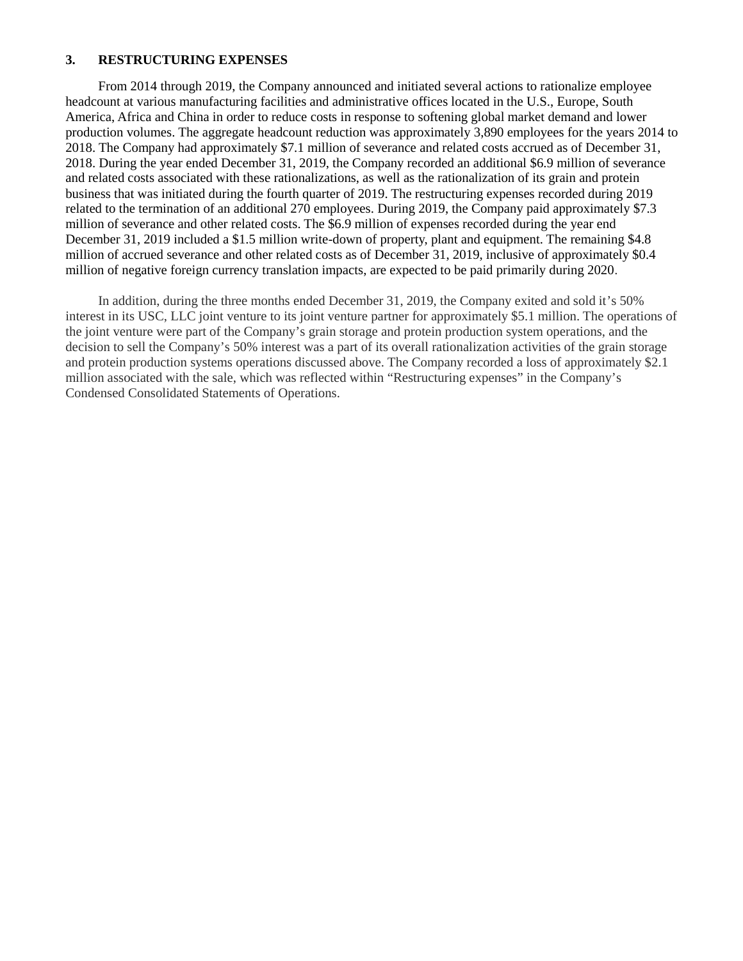### **3. RESTRUCTURING EXPENSES**

From 2014 through 2019, the Company announced and initiated several actions to rationalize employee headcount at various manufacturing facilities and administrative offices located in the U.S., Europe, South America, Africa and China in order to reduce costs in response to softening global market demand and lower production volumes. The aggregate headcount reduction was approximately 3,890 employees for the years 2014 to 2018. The Company had approximately \$7.1 million of severance and related costs accrued as of December 31, 2018. During the year ended December 31, 2019, the Company recorded an additional \$6.9 million of severance and related costs associated with these rationalizations, as well as the rationalization of its grain and protein business that was initiated during the fourth quarter of 2019. The restructuring expenses recorded during 2019 related to the termination of an additional 270 employees. During 2019, the Company paid approximately \$7.3 million of severance and other related costs. The \$6.9 million of expenses recorded during the year end December 31, 2019 included a \$1.5 million write-down of property, plant and equipment. The remaining \$4.8 million of accrued severance and other related costs as of December 31, 2019, inclusive of approximately \$0.4 million of negative foreign currency translation impacts, are expected to be paid primarily during 2020.

In addition, during the three months ended December 31, 2019, the Company exited and sold it's 50% interest in its USC, LLC joint venture to its joint venture partner for approximately \$5.1 million. The operations of the joint venture were part of the Company's grain storage and protein production system operations, and the decision to sell the Company's 50% interest was a part of its overall rationalization activities of the grain storage and protein production systems operations discussed above. The Company recorded a loss of approximately \$2.1 million associated with the sale, which was reflected within "Restructuring expenses" in the Company's Condensed Consolidated Statements of Operations.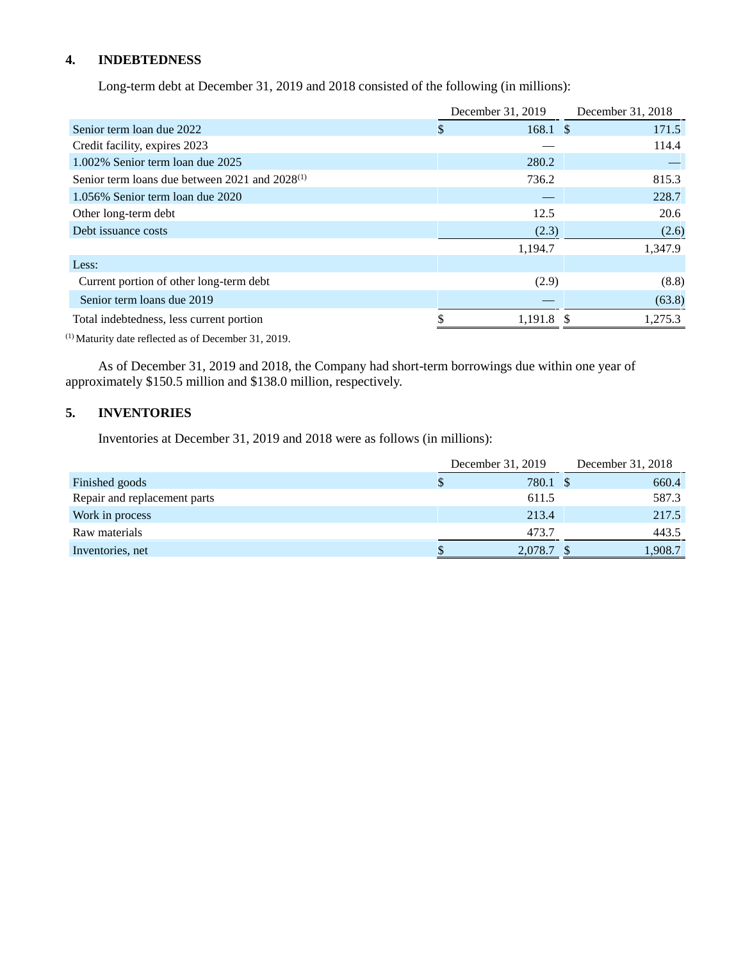## **4. INDEBTEDNESS**

Long-term debt at December 31, 2019 and 2018 consisted of the following (in millions):

|                                                     | December 31, 2019   | December 31, 2018 |
|-----------------------------------------------------|---------------------|-------------------|
| Senior term loan due 2022                           | $168.1 \text{ }$ \$ | 171.5             |
| Credit facility, expires 2023                       |                     | 114.4             |
| 1.002% Senior term loan due 2025                    | 280.2               |                   |
| Senior term loans due between 2021 and $2028^{(1)}$ | 736.2               | 815.3             |
| 1.056% Senior term loan due 2020                    |                     | 228.7             |
| Other long-term debt                                | 12.5                | 20.6              |
| Debt issuance costs                                 | (2.3)               | (2.6)             |
|                                                     | 1,194.7             | 1,347.9           |
| Less:                                               |                     |                   |
| Current portion of other long-term debt             | (2.9)               | (8.8)             |
| Senior term loans due 2019                          |                     | (63.8)            |
| Total indebtedness, less current portion            | $1,191.8$ \$        | 1,275.3           |
|                                                     |                     |                   |

(1) Maturity date reflected as of December 31, 2019.

As of December 31, 2019 and 2018, the Company had short-term borrowings due within one year of approximately \$150.5 million and \$138.0 million, respectively.

## **5. INVENTORIES**

Inventories at December 31, 2019 and 2018 were as follows (in millions):

|                              | December 31, 2019 | December 31, 2018 |         |  |
|------------------------------|-------------------|-------------------|---------|--|
| Finished goods               | \$<br>780.1 \$    |                   | 660.4   |  |
| Repair and replacement parts | 611.5             |                   | 587.3   |  |
| Work in process              | 213.4             |                   | 217.5   |  |
| Raw materials                | 473.7             |                   | 443.5   |  |
| Inventories, net             | 2,078.7           |                   | 1,908.7 |  |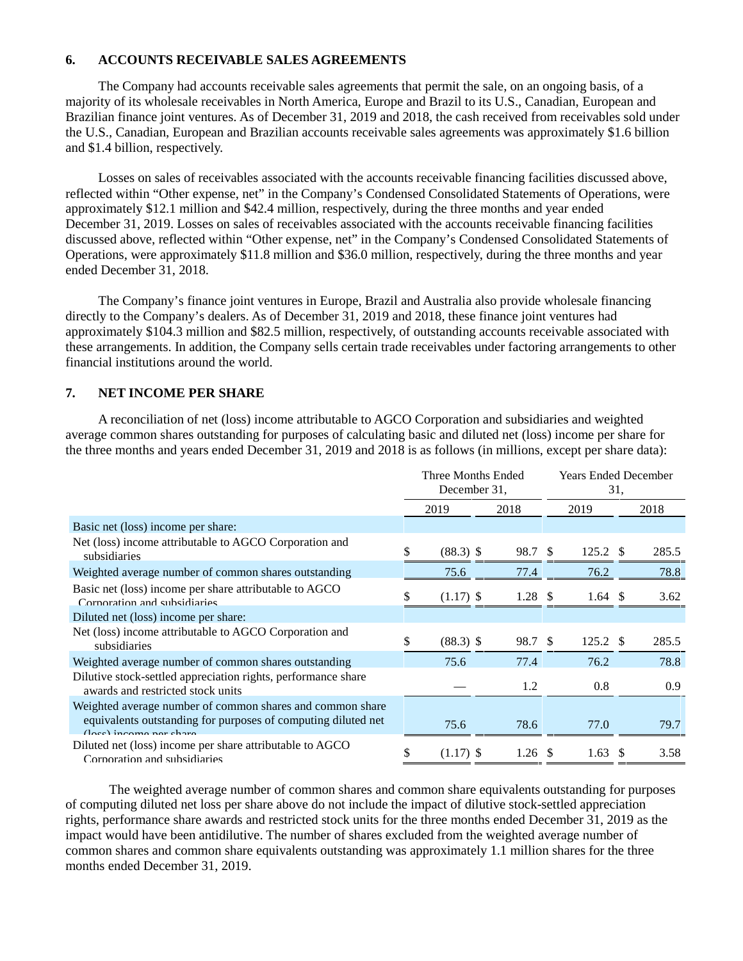### **6. ACCOUNTS RECEIVABLE SALES AGREEMENTS**

The Company had accounts receivable sales agreements that permit the sale, on an ongoing basis, of a majority of its wholesale receivables in North America, Europe and Brazil to its U.S., Canadian, European and Brazilian finance joint ventures. As of December 31, 2019 and 2018, the cash received from receivables sold under the U.S., Canadian, European and Brazilian accounts receivable sales agreements was approximately \$1.6 billion and \$1.4 billion, respectively.

Losses on sales of receivables associated with the accounts receivable financing facilities discussed above, reflected within "Other expense, net" in the Company's Condensed Consolidated Statements of Operations, were approximately \$12.1 million and \$42.4 million, respectively, during the three months and year ended December 31, 2019. Losses on sales of receivables associated with the accounts receivable financing facilities discussed above, reflected within "Other expense, net" in the Company's Condensed Consolidated Statements of Operations, were approximately \$11.8 million and \$36.0 million, respectively, during the three months and year ended December 31, 2018.

The Company's finance joint ventures in Europe, Brazil and Australia also provide wholesale financing directly to the Company's dealers. As of December 31, 2019 and 2018, these finance joint ventures had approximately \$104.3 million and \$82.5 million, respectively, of outstanding accounts receivable associated with these arrangements. In addition, the Company sells certain trade receivables under factoring arrangements to other financial institutions around the world.

### **7. NET INCOME PER SHARE**

A reconciliation of net (loss) income attributable to AGCO Corporation and subsidiaries and weighted average common shares outstanding for purposes of calculating basic and diluted net (loss) income per share for the three months and years ended December 31, 2019 and 2018 is as follows (in millions, except per share data):

|                                                                                                                                                       | Three Months Ended<br>December 31. |             |  |                    | <b>Years Ended December</b><br>31. |                     |  |       |
|-------------------------------------------------------------------------------------------------------------------------------------------------------|------------------------------------|-------------|--|--------------------|------------------------------------|---------------------|--|-------|
|                                                                                                                                                       |                                    | 2019        |  | 2018               |                                    | 2019                |  | 2018  |
| Basic net (loss) income per share:                                                                                                                    |                                    |             |  |                    |                                    |                     |  |       |
| Net (loss) income attributable to AGCO Corporation and<br>subsidiaries                                                                                | \$                                 | $(88.3)$ \$ |  | 98.7 \$            |                                    | $125.2 \text{ }$ \$ |  | 285.5 |
| Weighted average number of common shares outstanding                                                                                                  |                                    | 75.6        |  | 77.4               |                                    | 76.2                |  | 78.8  |
| Basic net (loss) income per share attributable to AGCO<br>Cornoration and subsidiaries                                                                | \$                                 | $(1.17)$ \$ |  | $1.28 \text{ }$ \$ |                                    | 1.64 $\sqrt{s}$     |  | 3.62  |
| Diluted net (loss) income per share:                                                                                                                  |                                    |             |  |                    |                                    |                     |  |       |
| Net (loss) income attributable to AGCO Corporation and<br>subsidiaries                                                                                | \$                                 | $(88.3)$ \$ |  | 98.7 \$            |                                    | 125.2 \$            |  | 285.5 |
| Weighted average number of common shares outstanding                                                                                                  |                                    | 75.6        |  | 77.4               |                                    | 76.2                |  | 78.8  |
| Dilutive stock-settled appreciation rights, performance share<br>awards and restricted stock units                                                    |                                    |             |  | 1.2                |                                    | 0.8                 |  | 0.9   |
| Weighted average number of common shares and common share<br>equivalents outstanding for purposes of computing diluted net<br>(loss) income ner share |                                    | 75.6        |  | 78.6               |                                    | 77.0                |  | 79.7  |
| Diluted net (loss) income per share attributable to AGCO<br>Corporation and subsidiaries                                                              | \$                                 | $(1.17)$ \$ |  | $1.26 \text{ }$ \$ |                                    | $1.63 \text{ }$ \$  |  | 3.58  |

The weighted average number of common shares and common share equivalents outstanding for purposes of computing diluted net loss per share above do not include the impact of dilutive stock-settled appreciation rights, performance share awards and restricted stock units for the three months ended December 31, 2019 as the impact would have been antidilutive. The number of shares excluded from the weighted average number of common shares and common share equivalents outstanding was approximately 1.1 million shares for the three months ended December 31, 2019.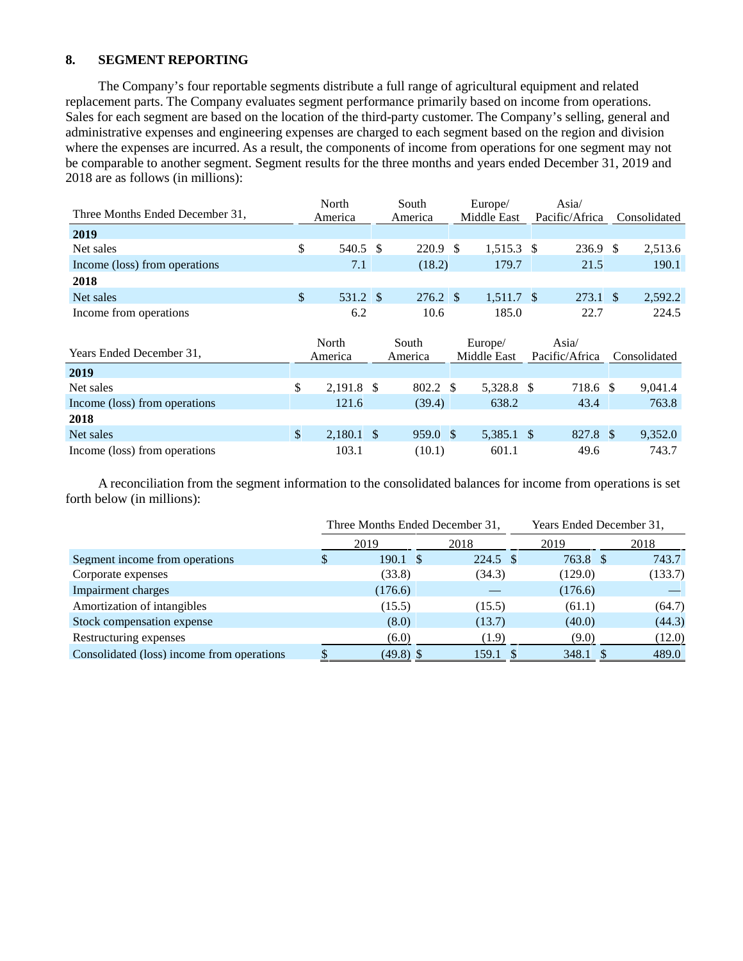## **8. SEGMENT REPORTING**

The Company's four reportable segments distribute a full range of agricultural equipment and related replacement parts. The Company evaluates segment performance primarily based on income from operations. Sales for each segment are based on the location of the third-party customer. The Company's selling, general and administrative expenses and engineering expenses are charged to each segment based on the region and division where the expenses are incurred. As a result, the components of income from operations for one segment may not be comparable to another segment. Segment results for the three months and years ended December 31, 2019 and 2018 are as follows (in millions):

|                                 |              | North        |     | South            | Europe/      |  | Asia/               |  |              |  |
|---------------------------------|--------------|--------------|-----|------------------|--------------|--|---------------------|--|--------------|--|
| Three Months Ended December 31, |              | America      |     | America          | Middle East  |  | Pacific/Africa      |  | Consolidated |  |
| 2019                            |              |              |     |                  |              |  |                     |  |              |  |
| Net sales                       | \$           | 540.5        | -\$ | $220.9$ \$       | $1,515.3$ \$ |  | $236.9$ \$          |  | 2,513.6      |  |
| Income (loss) from operations   |              | 7.1          |     | (18.2)           | 179.7        |  | 21.5                |  | 190.1        |  |
| 2018                            |              |              |     |                  |              |  |                     |  |              |  |
| Net sales                       | $\mathbb{S}$ | 531.2 \$     |     | 276.2 \$         | $1,511.7$ \$ |  | $273.1 \text{ }$ \$ |  | 2,592.2      |  |
| Income from operations          |              | 6.2          |     | 10.6             | 185.0        |  | 22.7                |  | 224.5        |  |
|                                 |              |              |     |                  |              |  |                     |  |              |  |
|                                 |              |              |     |                  |              |  |                     |  |              |  |
|                                 |              | North        |     | South            | Europe/      |  | Asia/               |  |              |  |
| Years Ended December 31,        |              | America      |     | America          | Middle East  |  | Pacific/Africa      |  | Consolidated |  |
| 2019                            |              |              |     |                  |              |  |                     |  |              |  |
| Net sales                       | \$           | 2,191.8 \$   |     | $802.2 \text{ }$ | 5,328.8 \$   |  | 718.6 \$            |  | 9,041.4      |  |
| Income (loss) from operations   |              | 121.6        |     | (39.4)           | 638.2        |  | 43.4                |  | 763.8        |  |
| 2018                            |              |              |     |                  |              |  |                     |  |              |  |
| Net sales                       | \$           | $2,180.1$ \$ |     | 959.0 \$         | 5,385.1 \$   |  | 827.8 \$            |  | 9,352.0      |  |

A reconciliation from the segment information to the consolidated balances for income from operations is set forth below (in millions):

|                                            | Three Months Ended December 31, | Years Ended December 31, |          |         |  |  |
|--------------------------------------------|---------------------------------|--------------------------|----------|---------|--|--|
|                                            | 2019                            | 2018                     | 2019     | 2018    |  |  |
| Segment income from operations             | $190.1 \text{ }$ \$             | 224.5 \$                 | 763.8 \$ | 743.7   |  |  |
| Corporate expenses                         | (33.8)                          | (34.3)                   | (129.0)  | (133.7) |  |  |
| Impairment charges                         | (176.6)                         |                          | (176.6)  |         |  |  |
| Amortization of intangibles                | (15.5)                          | (15.5)                   | (61.1)   | (64.7)  |  |  |
| Stock compensation expense                 | (8.0)                           | (13.7)                   | (40.0)   | (44.3)  |  |  |
| Restructuring expenses                     | (6.0)                           | (1.9)                    | (9.0)    | (12.0)  |  |  |
| Consolidated (loss) income from operations | $(49.8)$ \$                     | 159.1                    | 348.1    | 489.0   |  |  |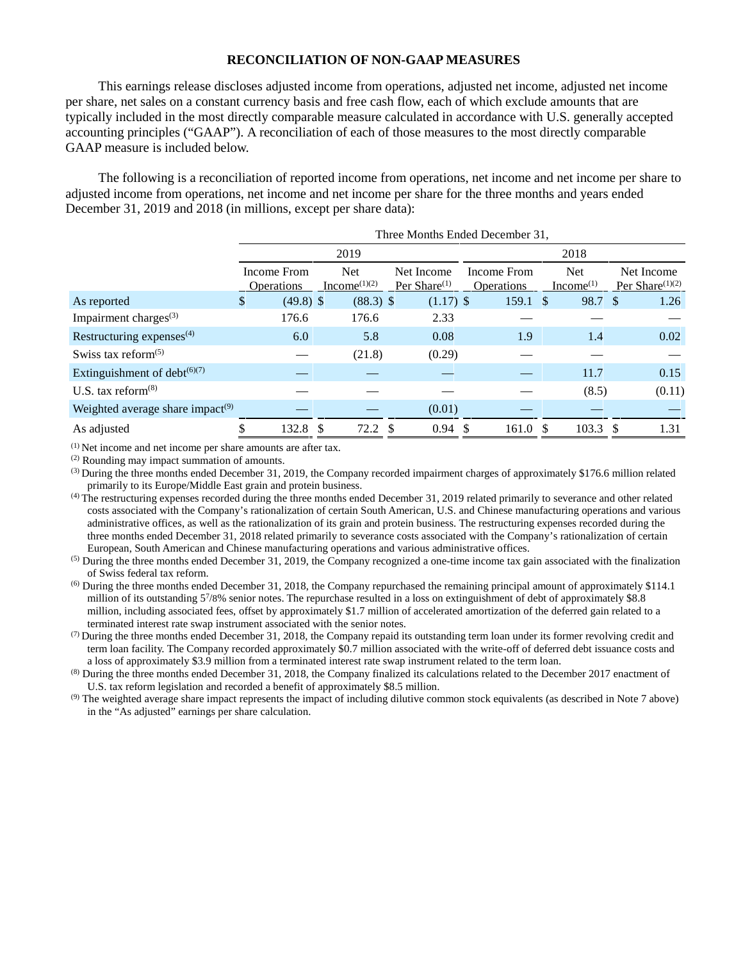### **RECONCILIATION OF NON-GAAP MEASURES**

This earnings release discloses adjusted income from operations, adjusted net income, adjusted net income per share, net sales on a constant currency basis and free cash flow, each of which exclude amounts that are typically included in the most directly comparable measure calculated in accordance with U.S. generally accepted accounting principles ("GAAP"). A reconciliation of each of those measures to the most directly comparable GAAP measure is included below.

The following is a reconciliation of reported income from operations, net income and net income per share to adjusted income from operations, net income and net income per share for the three months and years ended December 31, 2019 and 2018 (in millions, except per share data):

|                                              |                                  |             |                              |  |                                        | Three Months Ended December 31,         |  |                                     |  |                                  |  |  |  |
|----------------------------------------------|----------------------------------|-------------|------------------------------|--|----------------------------------------|-----------------------------------------|--|-------------------------------------|--|----------------------------------|--|--|--|
|                                              |                                  |             | 2019                         |  |                                        |                                         |  |                                     |  | 2018                             |  |  |  |
|                                              | Income From<br><b>Operations</b> |             | <b>Net</b><br>$Income(1)(2)$ |  | Net Income<br>Per Share <sup>(1)</sup> | <b>Income From</b><br><b>Operations</b> |  | <b>Net</b><br>Income <sup>(1)</sup> |  | Net Income<br>Per Share $(1)(2)$ |  |  |  |
| As reported                                  | \$                               | $(49.8)$ \$ | $(88.3)$ \$                  |  | $(1.17)$ \$                            | $159.1 \text{ }$ \$                     |  | 98.7 \$                             |  | 1.26                             |  |  |  |
| Impairment charges $(3)$                     |                                  | 176.6       | 176.6                        |  | 2.33                                   |                                         |  |                                     |  |                                  |  |  |  |
| Restructuring expenses $(4)$                 |                                  | 6.0         | 5.8                          |  | 0.08                                   | 1.9                                     |  | 1.4                                 |  | 0.02                             |  |  |  |
| Swiss tax reform $(5)$                       |                                  |             | (21.8)                       |  | (0.29)                                 |                                         |  |                                     |  |                                  |  |  |  |
| Extinguishment of debt $(6)(7)$              |                                  |             |                              |  |                                        |                                         |  | 11.7                                |  | 0.15                             |  |  |  |
| U.S. tax reform $^{(8)}$                     |                                  |             |                              |  |                                        |                                         |  | (8.5)                               |  | (0.11)                           |  |  |  |
| Weighted average share impact <sup>(9)</sup> |                                  |             |                              |  | (0.01)                                 |                                         |  |                                     |  |                                  |  |  |  |
| As adjusted                                  |                                  | 132.8 \$    | 72.2 \$                      |  | $0.94 \text{ }$ \$                     | $161.0 \text{ }$                        |  | $103.3 \text{ }$ \$                 |  | 1.31                             |  |  |  |

(1) Net income and net income per share amounts are after tax.

(2) Rounding may impact summation of amounts.

<sup>(3)</sup> During the three months ended December 31, 2019, the Company recorded impairment charges of approximately \$176.6 million related primarily to its Europe/Middle East grain and protein business.

<sup>(4)</sup> The restructuring expenses recorded during the three months ended December 31, 2019 related primarily to severance and other related costs associated with the Company's rationalization of certain South American, U.S. and Chinese manufacturing operations and various administrative offices, as well as the rationalization of its grain and protein business. The restructuring expenses recorded during the three months ended December 31, 2018 related primarily to severance costs associated with the Company's rationalization of certain European, South American and Chinese manufacturing operations and various administrative offices.

<sup>(5)</sup> During the three months ended December 31, 2019, the Company recognized a one-time income tax gain associated with the finalization of Swiss federal tax reform.

 $^{(6)}$  During the three months ended December 31, 2018, the Company repurchased the remaining principal amount of approximately \$114.1 million of its outstanding 5<sup>7</sup>/8% senior notes. The repurchase resulted in a loss on extinguishment of debt of approximately \$8.8 million, including associated fees, offset by approximately \$1.7 million of accelerated amortization of the deferred gain related to a terminated interest rate swap instrument associated with the senior notes.

( $7$ ) During the three months ended December 31, 2018, the Company repaid its outstanding term loan under its former revolving credit and term loan facility. The Company recorded approximately \$0.7 million associated with the write-off of deferred debt issuance costs and a loss of approximately \$3.9 million from a terminated interest rate swap instrument related to the term loan.

(8) During the three months ended December 31, 2018, the Company finalized its calculations related to the December 2017 enactment of U.S. tax reform legislation and recorded a benefit of approximately \$8.5 million.

 $<sup>(9)</sup>$  The weighted average share impact represents the impact of including dilutive common stock equivalents (as described in Note 7 above)</sup> in the "As adjusted" earnings per share calculation.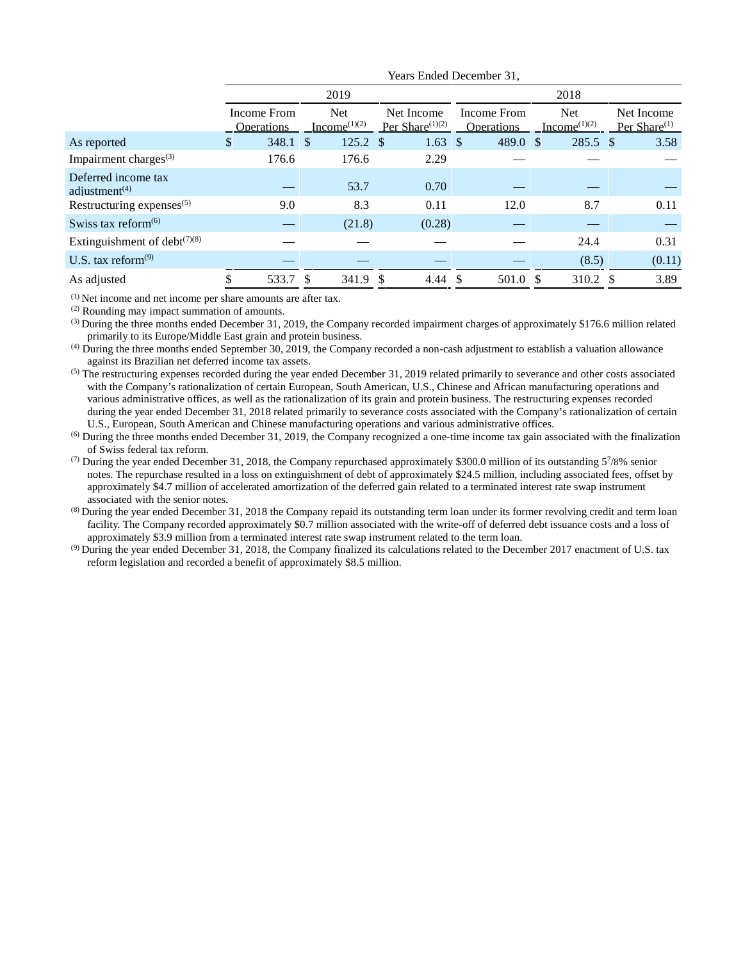|                                         | 2019 |                                         |      |                                        |  |                                  |  | 2018                                    |  |                                        |  |                                  |  |  |
|-----------------------------------------|------|-----------------------------------------|------|----------------------------------------|--|----------------------------------|--|-----------------------------------------|--|----------------------------------------|--|----------------------------------|--|--|
|                                         |      | <b>Income From</b><br><b>Operations</b> |      | <b>Net</b><br>Income <sup>(1)(2)</sup> |  | Net Income<br>Per Share $(1)(2)$ |  | <b>Income From</b><br><b>Operations</b> |  | <b>Net</b><br>Income <sup>(1)(2)</sup> |  | Net Income<br>Per Share $^{(1)}$ |  |  |
| As reported                             | \$   | 348.1                                   | - \$ | $125.2 \text{ }$ \$                    |  | $1.63 \text{ }$ \$               |  | 489.0 \$                                |  | $285.5$ \$                             |  | 3.58                             |  |  |
| Impairment charges $^{(3)}$             |      | 176.6                                   |      | 176.6                                  |  | 2.29                             |  |                                         |  |                                        |  |                                  |  |  |
| Deferred income tax<br>adjustment $(4)$ |      |                                         |      | 53.7                                   |  | 0.70                             |  |                                         |  |                                        |  |                                  |  |  |
| Restructuring expenses $(5)$            |      | 9.0                                     |      | 8.3                                    |  | 0.11                             |  | 12.0                                    |  | 8.7                                    |  | 0.11                             |  |  |
| Swiss tax reform $^{(6)}$               |      |                                         |      | (21.8)                                 |  | (0.28)                           |  |                                         |  |                                        |  |                                  |  |  |
| Extinguishment of debt $(7)(8)$         |      |                                         |      |                                        |  |                                  |  |                                         |  | 24.4                                   |  | 0.31                             |  |  |
| U.S. tax reform $(9)$                   |      |                                         |      |                                        |  |                                  |  |                                         |  | (8.5)                                  |  | (0.11)                           |  |  |
| As adjusted                             |      | 533.7                                   | - \$ | 341.9 \$                               |  | $4.44 \text{ } $$                |  | 501.0 \$                                |  | 310.2 \$                               |  | 3.89                             |  |  |

Years Ended December 31,

(1) Net income and net income per share amounts are after tax.

(2) Rounding may impact summation of amounts.

 $^{(3)}$  During the three months ended December 31, 2019, the Company recorded impairment charges of approximately \$176.6 million related primarily to its Europe/Middle East grain and protein business.

 $^{(4)}$  During the three months ended September 30, 2019, the Company recorded a non-cash adjustment to establish a valuation allowance against its Brazilian net deferred income tax assets.

<sup>(5)</sup> The restructuring expenses recorded during the year ended December 31, 2019 related primarily to severance and other costs associated with the Company's rationalization of certain European, South American, U.S., Chinese and African manufacturing operations and various administrative offices, as well as the rationalization of its grain and protein business. The restructuring expenses recorded during the year ended December 31, 2018 related primarily to severance costs associated with the Company's rationalization of certain U.S., European, South American and Chinese manufacturing operations and various administrative offices.

(6) During the three months ended December 31, 2019, the Company recognized a one-time income tax gain associated with the finalization of Swiss federal tax reform.

( $\sigma$ ) During the year ended December 31, 2018, the Company repurchased approximately \$300.0 million of its outstanding  $5\frac{7}{8}\%$  senior notes. The repurchase resulted in a loss on extinguishment of debt of approximately \$24.5 million, including associated fees, offset by approximately \$4.7 million of accelerated amortization of the deferred gain related to a terminated interest rate swap instrument associated with the senior notes.

(8) During the year ended December 31, 2018 the Company repaid its outstanding term loan under its former revolving credit and term loan facility. The Company recorded approximately \$0.7 million associated with the write-off of deferred debt issuance costs and a loss of approximately \$3.9 million from a terminated interest rate swap instrument related to the term loan.

 $^{(9)}$  During the year ended December 31, 2018, the Company finalized its calculations related to the December 2017 enactment of U.S. tax reform legislation and recorded a benefit of approximately \$8.5 million.